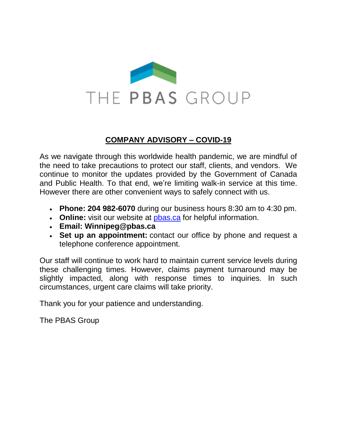

## **COMPANY ADVISORY – COVID-19**

As we navigate through this worldwide health pandemic, we are mindful of the need to take precautions to protect our staff, clients, and vendors. We continue to monitor the updates provided by the Government of Canada and Public Health. To that end, we're limiting walk-in service at this time. However there are other convenient ways to safely connect with us.

- **Phone: 204 982-6070** during our business hours 8:30 am to 4:30 pm.
- **Online:** visit our website at [pbas.ca](http://www.pbas.ca/) for helpful information.
- **Email: Winnipeg@pbas.ca**
- **Set up an appointment:** contact our office by phone and request a telephone conference appointment.

Our staff will continue to work hard to maintain current service levels during these challenging times. However, claims payment turnaround may be slightly impacted, along with response times to inquiries. In such circumstances, urgent care claims will take priority.

Thank you for your patience and understanding.

The PBAS Group